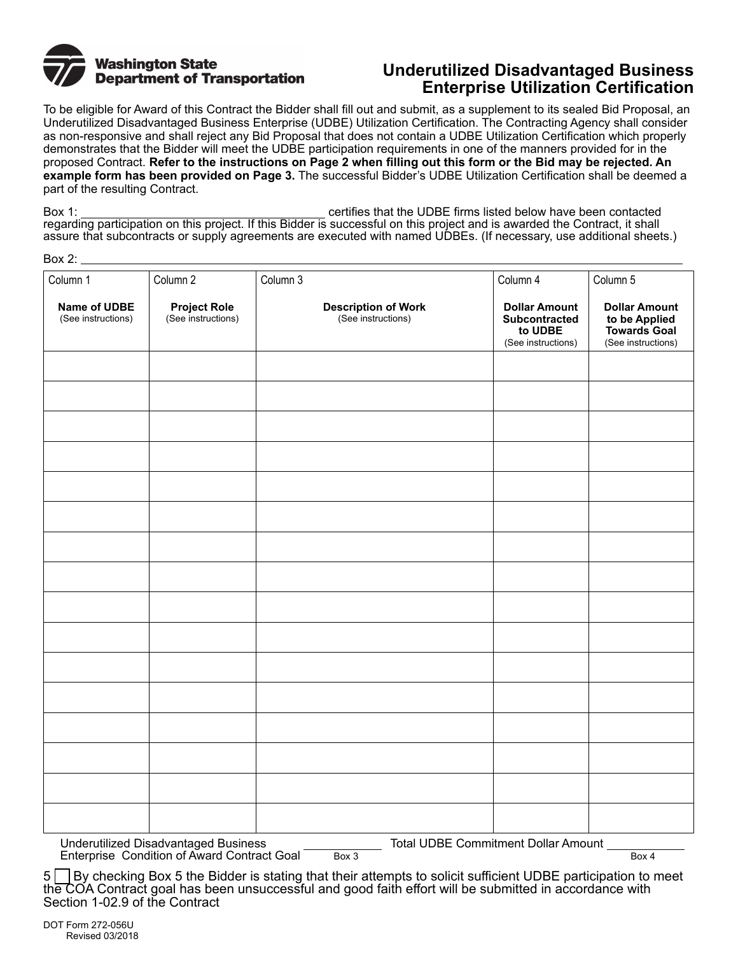

## **Underutilized Disadvantaged Business Enterprise Utilization Certification**

To be eligible for Award of this Contract the Bidder shall fill out and submit, as a supplement to its sealed Bid Proposal, an Underutilized Disadvantaged Business Enterprise (UDBE) Utilization Certification. The Contracting Agency shall consider as non-responsive and shall reject any Bid Proposal that does not contain a UDBE Utilization Certification which properly demonstrates that the Bidder will meet the UDBE participation requirements in one of the manners provided for in the proposed Contract. **Refer to the instructions on Page 2 when filling out this form or the Bid may be rejected. An example form has been provided on Page 3.** The successful Bidder's UDBE Utilization Certification shall be deemed a part of the resulting Contract.

Box 1: certifies that the UDBE firms listed below have been contacted regarding participation on this project. If this Bidder is successful on this project and is awarded the Contract, it shall assure that subcontracts or supply agreements are executed with named UDBEs. (If necessary, use additional sheets.)

|--|--|

| Column 1                           | Column 2                                  | Column 3                                         | Column 4                                                               | Column 5                                                                           |
|------------------------------------|-------------------------------------------|--------------------------------------------------|------------------------------------------------------------------------|------------------------------------------------------------------------------------|
| Name of UDBE<br>(See instructions) | <b>Project Role</b><br>(See instructions) | <b>Description of Work</b><br>(See instructions) | <b>Dollar Amount</b><br>Subcontracted<br>to UDBE<br>(See instructions) | <b>Dollar Amount</b><br>to be Applied<br><b>Towards Goal</b><br>(See instructions) |
|                                    |                                           |                                                  |                                                                        |                                                                                    |
|                                    |                                           |                                                  |                                                                        |                                                                                    |
|                                    |                                           |                                                  |                                                                        |                                                                                    |
|                                    |                                           |                                                  |                                                                        |                                                                                    |
|                                    |                                           |                                                  |                                                                        |                                                                                    |
|                                    |                                           |                                                  |                                                                        |                                                                                    |
|                                    |                                           |                                                  |                                                                        |                                                                                    |
|                                    |                                           |                                                  |                                                                        |                                                                                    |
|                                    |                                           |                                                  |                                                                        |                                                                                    |
|                                    |                                           |                                                  |                                                                        |                                                                                    |
|                                    |                                           |                                                  |                                                                        |                                                                                    |
|                                    |                                           |                                                  |                                                                        |                                                                                    |
|                                    |                                           |                                                  |                                                                        |                                                                                    |
|                                    |                                           |                                                  |                                                                        |                                                                                    |
|                                    |                                           |                                                  |                                                                        |                                                                                    |
|                                    |                                           |                                                  |                                                                        |                                                                                    |

Underutilized Disadvantaged Business<br>Enterprise Condition of Award Contract Goal Box 3 Total UDBE Commitment Dollar Amount Enterprise Condition of Award Contract Goal

5 | By checking Box 5 the Bidder is stating that their attempts to solicit sufficient UDBE participation to meet the COA Contract goal has been unsuccessful and good faith effort will be submitted in accordance with Section 1-02.9 of the Contract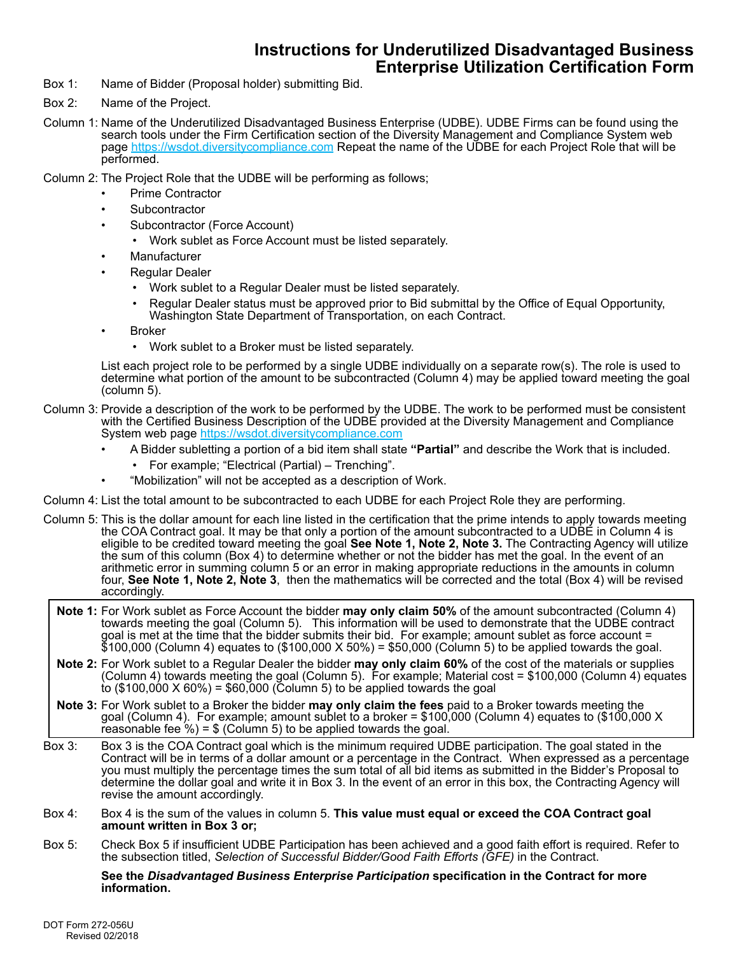## **Instructions for Underutilized Disadvantaged Business Enterprise Utilization Certification Form**

- Box 1: Name of Bidder (Proposal holder) submitting Bid.
- Box 2: Name of the Project.
- Column 1: Name of the Underutilized Disadvantaged Business Enterprise (UDBE). UDBE Firms can be found using the search tools under the Firm Certification section of the Diversity Management and Compliance System web page <u>https://wsdot.diversitycompliance.com</u> Repeat the name of the UDBE for each Project Role that will be performed.

Column 2: The Project Role that the UDBE will be performing as follows;

- Prime Contractor
- **Subcontractor**
- Subcontractor (Force Account)
	- Work sublet as Force Account must be listed separately.
- **Manufacturer**
- Regular Dealer
	- Work sublet to a Regular Dealer must be listed separately.
	- Regular Dealer status must be approved prior to Bid submittal by the Office of Equal Opportunity, Washington State Department of Transportation, on each Contract.
- **Broker** 
	- Work sublet to a Broker must be listed separately.

List each project role to be performed by a single UDBE individually on a separate row(s). The role is used to determine what portion of the amount to be subcontracted (Column 4) may be applied toward meeting the goal (column 5).

- Column 3: Provide a description of the work to be performed by the UDBE. The work to be performed must be consistent with the Certified Business Description of the UDBE provided at the Diversity Management and Compliance System web page<https://wsdot.diversitycompliance.com>
	- A Bidder subletting a portion of a bid item shall state **"Partial"** and describe the Work that is included.
		- For example; "Electrical (Partial) Trenching".
		- "Mobilization" will not be accepted as a description of Work.
- Column 4: List the total amount to be subcontracted to each UDBE for each Project Role they are performing.
- Column 5: This is the dollar amount for each line listed in the certification that the prime intends to apply towards meeting the COA Contract goal. It may be that only a portion of the amount subcontracted to a UDBE in Column 4 is eligible to be credited toward meeting the goal See Note 1, Note 2, Note 3. The Contracting Agency will utilize the sum of this column (Box 4) to determine whether or not the bidder has met the goal. In the event of an arithmetic error in summing column 5 or an error in making appropriate reductions in the amounts in column four, **See Note 1, Note 2, Note 3**, then the mathematics will be corrected and the total (Box 4) will be revised accordingly.
	- **Note 1:** For Work sublet as Force Account the bidder **may only claim 50%** of the amount subcontracted (Column 4) towards meeting the goal (Column 5). This information will be used to demonstrate that the UDBE contract goal is met at the time that the bidder submits their bid. For example; amount sublet as force account = \$100,000 (Column 4) equates to (\$100,000 X 50%) = \$50,000 (Column 5) to be applied towards the goal.
	- **Note 2:** For Work sublet to a Regular Dealer the bidder **may only claim 60%** of the cost of the materials or supplies (Column 4) towards meeting the goal (Column 5). For example; Material cost = \$100,000 (Column 4) equates to (\$100,000 X 60%) = \$60,000 (Column 5) to be applied towards the goal
- **Note 3:** For Work sublet to a Broker the bidder **may only claim the fees** paid to a Broker towards meeting the goal (Column 4). For example; amount sublet to a broker = \$100,000 (Column 4) equates to (\$100,000 X reasonable fee %) = \$ (Column 5) to be applied towards the goal.
- Box 3: Box 3 is the COA Contract goal which is the minimum required UDBE participation. The goal stated in the Contract will be in terms of a dollar amount or a percentage in the Contract. When expressed as a percentage you must multiply the percentage times the sum total of all bid items as submitted in the Bidder's Proposal to determine the dollar goal and write it in Box 3. In the event of an error in this box, the Contracting Agency will revise the amount accordingly.
- Box 4: Box 4 is the sum of the values in column 5. **This value must equal or exceed the COA Contract goal amount written in Box 3 or;**
- Box 5: Check Box 5 if insufficient UDBE Participation has been achieved and a good faith effort is required. Refer to the subsection titled, *Selection of Successful Bidder/Good Faith Efforts (GFE)* in the Contract.

**See the** *Disadvantaged Business Enterprise Participation* **specification in the Contract for more information.**